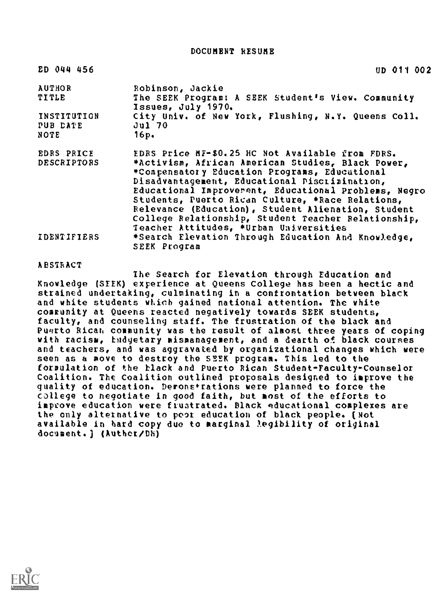DOCUMENT RESUME

| ED 044 456              | UD 011 002                                                                                                                                                                                                                                                                                                                                                                                                             |
|-------------------------|------------------------------------------------------------------------------------------------------------------------------------------------------------------------------------------------------------------------------------------------------------------------------------------------------------------------------------------------------------------------------------------------------------------------|
| <b>AUTHOR</b>           | Robinson, Jackie                                                                                                                                                                                                                                                                                                                                                                                                       |
| <b>TITLE</b>            | The SEEK Program: A SEEK Student's View. Community<br>Issues, July 1970.                                                                                                                                                                                                                                                                                                                                               |
| INSTITUTION<br>PUB DATE | City Univ. of New York, Flushing, N.Y. Queens Coll.<br><b>Jul 70</b>                                                                                                                                                                                                                                                                                                                                                   |
| NOTE                    | 16p.                                                                                                                                                                                                                                                                                                                                                                                                                   |
| EDRS PRICE              | EDRS Price MF-\$0.25 HC Not Available from FDRS.                                                                                                                                                                                                                                                                                                                                                                       |
| <b>DESCRIPTORS</b>      | *Activism, African American Studies, Black Power,<br>*Compensatory Education Programs, Educational<br>Disadvantagement, Educational Piscrimination,<br>Educational Improverent, Educational Problems, Negro<br>Students, Puerto Rican Culture, *Race Relations,<br>Relevance (Education), Student Alienation, Student<br>College Relationship, Student Teacher Relationship,<br>Teacher Attitudes, *Urban Universities |
| IDENTIFIERS             | *Search Elevation Through Education And Knowledge,<br>SEEK Program                                                                                                                                                                                                                                                                                                                                                     |

## ABSTRACT

The Search for Elevation through Education and Knowledge (SEEK) experience at Queens College has been a hectic and strained undertaking, culminating in a confrontation between black and white students which gained national attention. The white community at Queens reacted negatively towards SEEK students, faculty, and counseling staff. The frustration of the black and Puerto RiCati community was the result of almost three years of coping with racism, tndyetary mismanagement, and a dearth of black courses and teachers, and was aggravated by organizational changes which were seen as a move to destroy the SEEK program. This led to the formulation of the black and Puerto Rican Student-Faculty-Counselor Coalition. The Coalition outlined proposals designed to improve the quality of education. Deronefrations were planned to force the college to negotiate in good faith, but most of the efforts to improve education were frustrated. Black educational complexes are the only alternative to poor education of black people. (Not available in hard copy due to marginal legibility of original document.) (Authet/Dh)

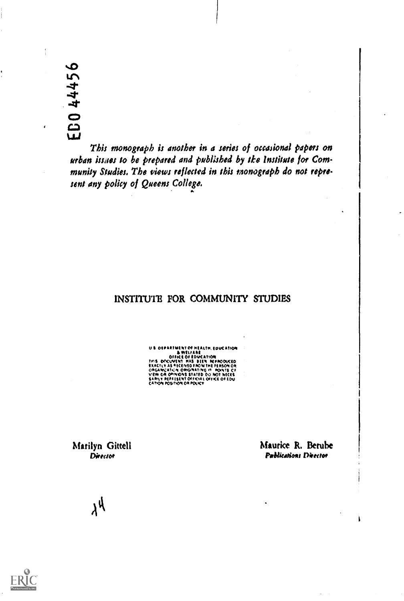%ID  $\Gamma$  $\mathcal{A}$ 

 $\epsilon$ 

This monograph is another in a series of occasional papers on urban issues to be prepared and published by tke institute for Community Studies. The views reflected in ibis monograph do not represent any policy of Queens College,

## INSTITUTE FOR COMMUNITY STUDIES

U I ouikittuito M MtAttM. love ANA I WitfAlit ittVt01011 fed 0OCLIVEN1 \*AS Ott\*\*00toCIO flACtvo AS \*SCINIO iAOM THE \*MOM OR 00PGAWA1A:41 ORIONATIMG o\* \*Woos co rim 011 00,moOMS STATED 00 MOT \*MS WARM\* WOO Estill 00t4clAs OrooCE Of CAt,Oft \*MAX).\* 0\* OOLOC\*

Marilyn Gitteli Maurice R. Berube Director **Director** Arb Arb & Arb & Pablications Director

Ì

 $\lambda^{\mathcal{U}}$ 

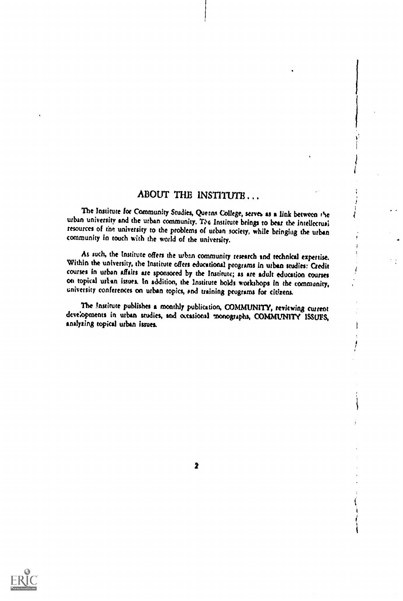## ABOUT THE INSTITUTE...

The Institute for Community Studies, Queens College, serves as a link between the urban university and the urban community. 'De Institute brings to bear the intellectual resources of the university to the problems of urban society, while bringing the urban community in touch with the world of the university.

As such, the Institute offers the when community research and technical expertise. Within the university, the Institute offers educational programs in urban studies: Credit courses in urban affairs are sponsored by the Ins university conferences on urban topics, and training programs for citizens.

The institute publishes a monthly publication, COMMUNITY, reviewing current developments in urban studies, and occasional monographs, COMMUNITY ISSUES, analyzing topical urban issues.

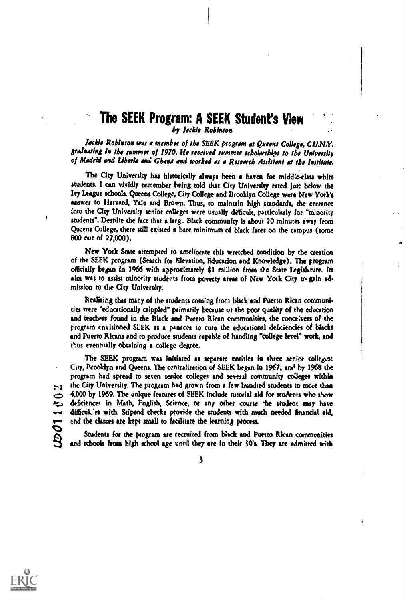## The SEEK Program: A SEEK Student's View by Jackie Robinson

Jackie Robinson was a member of the SEEK program at Queens College, C.U.N.Y. gradnating in the summer of 1970. He received summer scholarships to the University of Madrid and Liberia and Gbana and worked as a Research Assistant at the Institute.

The City University has historically always been a haven for middle-class white students. I can vividly remember being told that City University rated jur: below the Ivy League schools. Queens College, City College and Brooklyn College were New York's answer to Harvard, Yale and Brown. Thus, to maintain high standards, the entrance into the City University senior colleges were usually difficult, particularly for "minority students". Despite the fact that a larg. Black community is about 20 minutes away from Queens College, there still existed a bare minimum of black faces on the campus (some 800 out of 27,000).

New York State attempted to ameliorate this wretched condition by the creation of the SEEK program (Search for Elevation, Education and Knowledge). The program officially began in 1966 with approximately \$i million from de State Legislature. Its aim was to assist minority students from poverty areas of New York City to gain ad. mission to the City University.

Realizing that many of the students coming from black and Puerto Rican contmunities were "edocationally crippled" primarily because of the poor quality of the education and teachers found in the Black and Puerto Rican communities, the conceivers of the program envisioned SZEK as a renews to cure the educational deficiencies of blacks and Puerto Ricans end to produce students capable of handling "college level" work, and thus eventually obtaining a college degree.

The SEEK program was initiated as separate entities in three senior colleges: City, Brooklyn and Queens. The centralisation of SEEK began in 1967; and by 1968 the program had spread to seven senior colleges and several community colleges within the City University. The program had grown horn a few hundred students to more than  $4,000$  by 1969. The unique features of SEEK include tutorial aid for students who show deficiences in Math, English, Science, or any other course the student may have wolf difficul.'es with. Stipend checks provide the students with much needed financial aid,<br>
end the classes are kept small to facilitate the learning process.<br>
Students for the program are recruited from birck and Puerto end the classes ate kept small to facilitate the learning meets.

Students for the program are recruited from bisck and Puerto Rican communities and schools from high school age until they are in their 30's. They are admitted with

 $\overline{\mathbf{3}}$ 



 $\sim$ 1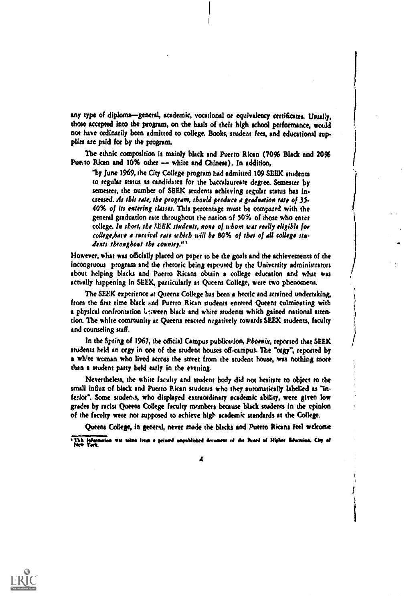any type of diploma-general, academic, vocational or equivalency certificates. Usually, those accepted Into the program, on the basis of their high school performance, would not have ordinarily been admitted to college. Books, student fees, and educational supplies are peld foe by the program.

The ethnic composition is mainly black and Puerto Rican (70% Black and 20% Puerto Rican and 10% other -- white and Chinese). In addition,

"by June 1969, the City College program had admitted 109 SEEK students to regular status as candidates for the baccalaureate degree. Semester by semester, the number of SEEK students achieving regular status has increased. At this rate, the program, should produce a graduation rate of 35-40% of its entering classes. This percentage must be compared with the general graduation rate throughout the nation of 50% of those who enter college. In short, the SEEK students, none of whom was really eligible for college, base a sursival rate which will be 80% of that of all college students throughout the country."<sup>1</sup>

However, what was officially placed on paper to be the goals and the achievements of the incongruous program and the rhetoric being espoused by the University administrators about helping blacks and Puerto Ricans obtain a college education and what was actually happening in SEEK, particularly at Queens College, were two phenomena.

The SEEK experience at Queens College has been a hectic and strained undertaking, from the first time black and Puerto Rican students entered Queens culminating with a physical confrontation Leween black and white students which gained national attenton. The white community at Queens reacted negatively towards SEEK students, faculty and counseling staff.

In the Spring of 1967, the official Campus publication, Phoenix, reported that SEEK students held an orgy in one of the student houses off-campus. The "orgy", reported by a white woman who lived across the street from the student house, was nothing more than a student party held early in the evening.

Nevertheless, the white faculty and student body did not hesitate to object to the small influx of black and Puerto Rican students who they automatically labeled as "in. feria". Some students, who displayed extraordinary academic ability, were given low grades by racist Queens College faculty members because black students in the opinion of the faculty were nor supposed to achieve high atedetnk standards at the College.

Queens College, in general, never made the blacks and Puerto Ricans feel welcome

Itha information was taken from a primed unpublished decument of the Board of Higher Education. City of



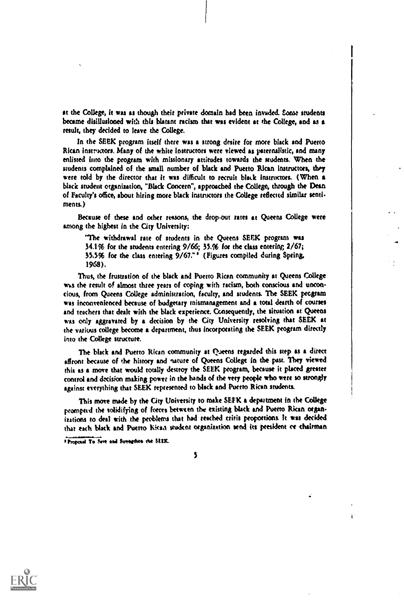at the College, it was as though their private domain had been invaded. Some students became disillusioned with this blatant racism that was evident at 'be College, and as a result, they decided to leave the College.

In the SEEK program itself there was a strong desire for more black and Puerto Rican instructors. Many of the white instructors were viewed as paternalistic, and many enlisted into the program with missionary attitudes towards the students. When the students complained of the small number of black and Puerto Rican instructors, they were told by the director that it was difficult to recruit black instructors. (When a black student organization, "Black Concern", approached the College, through the Dean of Faculty's office, about hiring more black instructors the College reflected similar send ments.)

Because of these and other reasons, the drop-out rates at Queens College were among the highest in the City University:

"The withdrawal rate of students in the Queens SEEK program was  $34.1\%$  for the students entering  $9/66$ ;  $35.%$  for the class entering;  $2/67$ ; 35.5% for the class entering 9/67. "' (Figures compiled during Spring, 1968).

Thus, the frustration of the black and Puerto Rican community at Queens College was the result of almost three years of coping with racism, both conscious and unconcious, from Queens College administration, faculty, and students. The SEEK program was inconvenienced because of budgetary mismanagement and a total dearth of courses and teachers that dealt with the black experience. Consequently, the situation at Queens was only aggravated by a decision by the City University resolving that SEEK at the various college become a department, thus incorporating the SEEK program directly into the College structure.

The black and Puerto Rican community at Queens regarded this step as a direct affront because of the history and nature of Queens College in the past. They viewed this as a move that would totally destroy the SEEK program, because it placed greater control and decision making power in the hands of the very people who were so strongly against everything that SEEK represented to black and Puerto Rican students.

This move made by the City University to make SEEK a department in the College prompted the solidifying of forces between the existing black and Puerto Rican organitations to deal with the problems that had reached crisis proportions. It was decided that each black and Puerto kiesa student organization send its president re chairman

<sup>1</sup> Proposal To Save and Surengthen rhe SEEK.



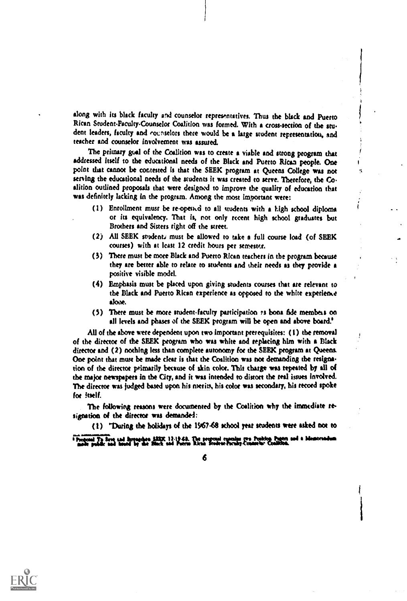along with its black faculty and counselor representatives. Thus the black and Puerto Rican Student.Paculty-Counselor Coalition was formed. With a cross-section of the stu dent leaders, faculty and counselors there would be a large student representation, and teacher and counselor involvement was assured.

The primary goal of the Coalition was to create a viable and strong program that addressed itself to the educational needs of the Black and Puerto Rican people. One point that cannot be contested Is that the SEEK program at Queens College was not serving the educational needs of the students it was created to serve. Therefore, the Co. alition outlined proposals that were designed to improve the quality of education that was definitely lacking in the program. Among the most Important were:

- (1) Enrollment must be re-opened to all students with a high school diploma or its equivalency. That is, not only recent high school graduates but Brothers and Sisters right off the street.
- (2) All SEEK students must be allowed to take a full course load (of SEEK courses) with at least 12 credit hours per semester.
- (3) There must be more Black and Puerto Rican teachers in the program because they are better able to relate to students and their needs as they provide a positive visible model.
- (4) Emphasis must be placed upon giving students courses that are relevant to the Black and Puerto Rican experience as opposed to the white experience alooe.
- (5) There must be more student-faculty participation rs bona fide members on all levels and phases of the SEEK program will be open and above board!

All of the above were dependent upon two important prerequisites: (1) the removal of the director of the SEEK program who was white and replacing him with a Black director and (2) nothing less than complete autonomy for the SEEK program at Queens. One point that must be made clear is that the Coalition was not demanding the resignation of the director primarily because of skin color. This charge was repeated by all of the major newspapers in the City, and it was intended to distort the red issues involved. The director was judged based upon his merits, his color was secondary, his record spoke for itself.

The following reasons were documented by the Coalition why the immediate resignation of the director was demanded:

(1) "During the holidays of the 1967-68 school year students were asked not to

triplet Boyangdian SEEK 12-19-68. The proposal concelus (tra Position Papier i<br>ad hands for the Black and Papina Richa Stodent-Paculo Connectic Condition.



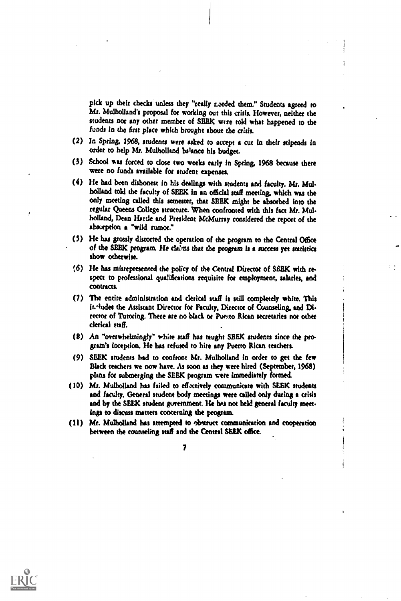pick up their checks unless they "really needed them." Students agreed to Mr. Mulholland's proposal for working out this crisis. However, neither the students not any other member of SEEK were told what happened to the funds In the first place which brought about the crisis.

- (2) In Spring, 1968, students were asked to accept a cut In their stipends in order to help Mr. Mulholland bstance his budget.
- (3) School was forced to close two weeks early in Spring, 1968 because there were no funds available for student expenses.
- (4) He had been dishonest in his dealings with students and faculty. Mr. Mule holland told the faculty of SEEK in an offidal staff meeting which was the only meeting called this semester, that SEEK might be absorbed into the regular Queens College structure. When confronted with this fact Mr. Mulholland, Dean Hartle and President McMurray considered the repot: of the absorption a "wild rumor."
- (5) He has grossly distorted the operation of the program to the Central Office of the SEEK program. He claims thu the program is a success yet statistics show otherwise.
- 6) He has misrepresented the policy of the Central Director of SEEK with re spect to professional qualifications requisite for employment, salaries, and contracts.
- (7) The entire administration and clerical staff is still completely white. This It.<sup>-l</sup>udes the Assistant Director for Faculty, Director of Counseling, and Director of Tutoring. There are no black or Puerto Rican secretaries not other clerical staff.
- (8) An "overwhelmingly" white staff has taught SEEK students since the program's Inception. He has refused to hire any Puerto Rican teachers.
- (9) SEEK students had to confront Mr. Mulholland in order to get the few Black teachers we now have. As soon as they were hired (September, 1968) plans for submerging the SEEK program vete immediately formed
- (10) Mr. Mulholland has failed to effectively communicate with SEEK students and faculty. General student body meetings were called only during a crisis and by the SEEK student government. He has not held general faculty meetings to discuss matters concerning the program.
- (11) Mr. Mulholland has attempted to eksuuct communication and cooperation between the counseling staff and the Central SEEK office.

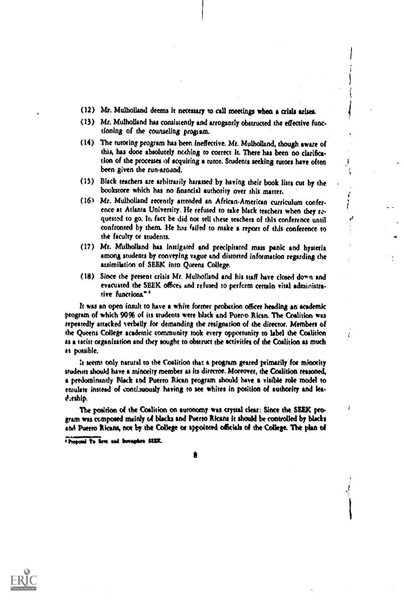- (12) Mr. Mulholland deems it necessary to call meetings when a crisis arises.
- (13) Mr. Mulholland has consistently and arrogantly obstructed the effective functioning of the counseling progism.
- (14) The tutoring, program has been ineffective. Mr. Mulholland, though aware of this, has done absolutely welling to correct it. There has been no darifica. tion of the processes of acquiring a tutor. Students seeking tutors have often been given the run-aroand.
- (13) Black teachers are arbitrarily harassed by having their book lists cut by the bookstore which has no financial authority over this matter.
- (16) Mr. Mulholland recently attended an AfricanAnnerian curriculum confer. ence at Atlanta University. He refused to take black teachers when they requested to go. In fact be did not tell these teachers of this conference until confronted by them. He has failed to make a report of this conference to the faculty or students.

./

ı

- (17) Mr. Mulholland has instigated and precipitated mass panic and hysteria among students by conveying vague and distorted information regarding the assimilation of SEEK into Queens College.
- (18) Since the present crisis Mr, Mulholland and his staff have dosed down and evacuated the SEEK offices and refused to perform certain vital administra tive functions."<sup>4</sup>

it was an open insult to have a white former probation officer heading an academic program of which 90% of its students were black and Puerto Rican. The Coalition was repeatedly attacked verbally for demanding the resignation of the director. Members of the Queens College academic community took every opportunity to label the Coalition as a tacist organization and they sought to obstruct the activities of the Coalition as much as possible.

It seems only natural to the Coalition that a program geared primarily foe minority students should have a minority member as its director. Moreover, the Coalition reasoned, a predominantly Black and Puerto Rican program should have a visible role model to emulate instead of contimously hiving to see whites in position of authority and lea. Aship.

The position of the Coalition on autonomy was crystal clear: Since the SEEK program was (unposed mainly of blacks and Puerto Ricans it should be controlled by blacks and Puerto Ricans, nor by the College or appointed officials of the College. The plan of

Proposal To firm and forcegulate SEEK.



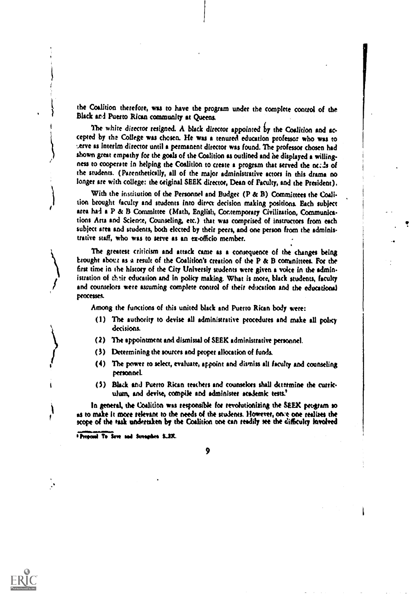the Coalition therefore, was to have the program under the complete control of the Black and Puerto Rican community at Queens.

The white director resigned. A black director appointed by the Coalition and accepted by the College was chosen. He was a tenured education professor who was to .serve as Interim director until a permanent director was found. The professor chosen had shown great empathy for the goals of the Coalition as outlined and he displayed a willingness to cooperate in helping the Coalition to create a program that served the needs of the students. (Parenthetically, all of the major administrative actors in this drama no longer are with college: the original SEEK director, Dean of Faculty, and the President).

With the institution of the Personnel and Budget (P & B) Committees the Coalition brought faculty and students into direct decision making positions. Each subject area had a P & B Committee (Math, English, Contemporary Civilization, Communications Arts and Science, Counseling, etc.) that was comprised of instructors from each subject area and students, both elected by their peers, and one person from the administrative staff, who was to serve as an ex-officio member.

The greatest criticism and attack came as a consequence of the changes being brought aboct as a result of the Coalition's creation of the P & B cominittees. For the first time in the history of the City Univetsiy students were given a voice in the admin istration of their education and in policy making. What is more, black students, faculty and counselors were assuming complete control of their education and the educational processes.

Among the functions of this united black and Puerto Rican body wets:

- (I) The authority to devise all administrative procedures and make all policy decisions.
- (2) The appointment and dismissal of SEEK administrative personnel.
- (3) Determining the sources and proper allocation of funds.
- (4) The power to select, evaluate, appoint and dismiss all faculty and counseling personnel.
- (5) Bluk and Puerto Rican teachers and counselors shall determine the curriculum, and devise, compile and administer academic tests.<sup>8</sup>

In general, the Coalition was responsible for revolutionizing the SEEK program so as to make it more relevant to the needs of the students. However, once one realizes the scope of the task undertaken by the Coalition one can readily see the difficulty involved

**\* Proposel To Save and Screephen SLEK.** 



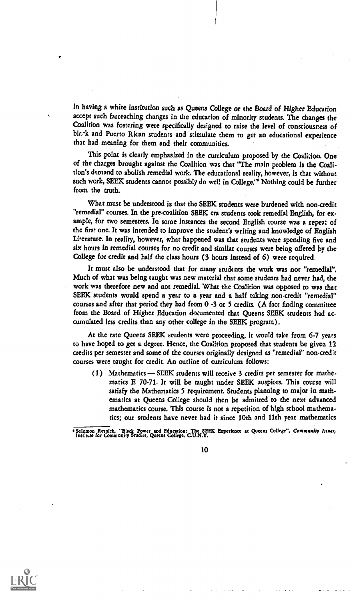in having a white institution such as Queens College or the Board of Higher Education accept such farreaching changes in the education of minority students. The changes the Coalition was fostering were specifically designed to raise the level of consciousness of blz-k and Puerto Rican students and stimulate them to get an educational experience that bad meaning for them and their communities.

This point is clearly emphasized in the curriculum proposed by the Coalidon. One of the charges brought against the Coalition was that "The main problem is the Coalition's demand to abolish remedial work. The educational reality, however, is that without such work, SEEK students cannot possibly do well in College."<sup>4</sup> Nothing could be further from the truth.

Wbat must be understood is that the SEEK students were burdened with non-credit "remedial" courses. In the pre-coalition SEEK era students took remedial English, for ex ample, for two semesters. In some instances the second English course was a repeat of the first one. It was intended to improve the student's writing and knowledge of English Literature. In reality, however, what happened was that students were spending five and six hours in remedial courses for no credit and similar courses were being offered by the College for credit and half the class hours (3 hours instead of 6) were required,

It must also be understood that for many students the work was not "remedial". Much of what was being taught was new material that some students had never had, the work was therefore new and not remediaL What the Coalition was opposed to was that SEEK students would spend a year to a year and a half taking non-credit "remedial" courses and after that period they had from 0 -3 or 5 credits. (A fact finding committee from the Board of Higher Education documented that Queens SEEK students had accumulated less credits than any other college in the SEEK program).

At the rate Queens SEEK students were proceeding, it would take from 6-7 years to have hoped to get a degree. Hence, the Coalition proposed that students be given 12 credits per semester and some of the courses originally designed as "remedial" non-credit courses were taught for credit. An outline of curriculum follows:

(1) Mathematics - SEEK students will receive 3 credits per semester for mathematics E 70-71. It will be taught under SEEK auspices. This course will satisfy the Mathematics 5 requirement. Students planning to major in mathematics at Queens College should then be admitted to the next advanced mathematics course. This course is not a repetition of high school mathematics; our students have never had it since 10th and 11th year mathematics

\*Solomon Resaick, "Black Power and Education: The SEEK Experience at Queens College", Community Issues, Inser,



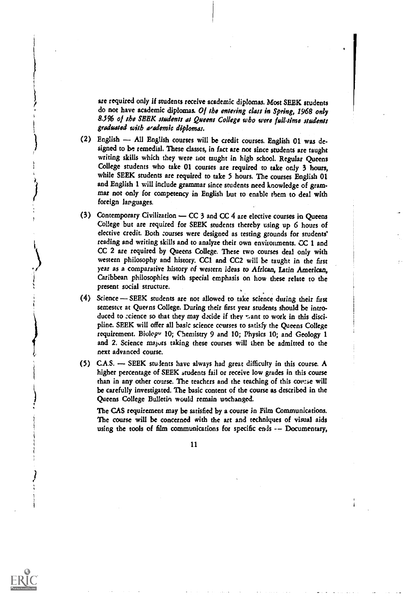are required only if students receive academic diplomas. Most SEEK students do not have academic diplomas. Of the entering class in Spring, 1968 only 8.5% of the SEEK students at Queens College who were full-time students graduated with academic diplomas.

- (2) English All English courses will be credit courses. English 01 was designed to be remedial. These classes, in fact are not since students are taught writing skills which they were not taught in higb school. Regular Queens College students who take 01 courses are required to take only 3 hours, while SEEK students are required to take 5 hours. The courses English 01 and English 1 will include grammar since students need knowledge of grammar not only for competency in English but to enable them to deal with foreign languages.
- (3) Contemporary Civilization  $-CC$  3 and  $CC$  4 are elective courses in Queens College but are required for SEEK students thereby using up 6 hours of elective credit. Both courses were designed as testing grounds for students' reading and writing skills and to analyze their own environments. CC 1 and CC 2 are required by Queens College. These two courses deal only with western philosophy and history. CC1 and CC2 will be taught in the first year as a comparative history of western ideas to African, Latin American, Caribbean philosophies with special emphasis on how these relate to the present social structure.
- (4) Science SEEK students are not allowed to take science during their first semester at Queens College. During their first year students should be introduced to ccience so that they may decide if they want to work in this discipline. SEEK will offer all basic science ceurses to satisfy the Queens College requirement. Biolopv 10; Chemistry 9 and 10; Physics 10; and Geology 1 and 2. Science majors taking these courses will then be admitted to the next advanced course.
- (5)  $C.A.S. \longrightarrow SEEK$  students have always had great difficulty in this course. A higher percentage of SEEK students fail or receive low grades in this course than in any other course. The teachers and the teaching of this course will be carefully investigated. The basic content of the course as described in the Queens College Bulletin would remain unchanged.

The CAS requirement may be satisfied by a course in Film Communications. The course will be concerned with the art and techniques of visual aids using the tools of film communications for specific ends -- Documentary,

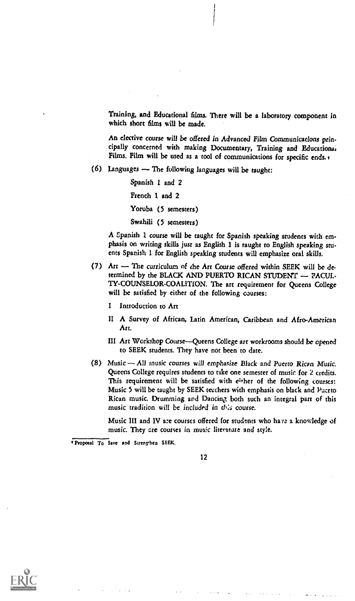Training, and Educational films. There will be a laboratory component in which short films will be made.

An elective course will be offered in Advanced Film Communications principally concerned with making Documentary, Training and Educations, Films. Film will be used as a tool of communications for specific ends.

 $(6)$  Languages  $\sim$  The following languages will be taught:

Spanish I and 2 French 1 and 2 Yoruba (5 semesters) Swahili (5 semesters)

A Spanish 1 course will be taught for Spanish speaking students with em phasis on writing skills just as English 1 is taught to English speaking stuents Spanish 1 for English speaking students will emphasize oral skills.

- (7) Art The curriculum of the Art Course offered within SEEK will be determined by the BLACK AND PUERTO RICAN STUDENT - PACUL-TY-COUNSELOR-COALITION. The art requirement for Queens College will be satisfied by either of the following courses:
	- I Introduction to Art
	- II A Survey of African, Latin American, Caribbean and Afro-American Art.
	- III Art Workshop Course-Queens College art workrooms should be opened to SEEK students. They have not been to date.
- (8) Music All music courses will emphasize Black and Puerto Rican Music. Queens College requires students to take one semester of music for 2 credits. This requirement will be satisfied with either of the following courses: Music 5 will be taught by SEEK teachers with emphasis on black and Puerto Rican music. Drumming and Dancing, both such an integral part of this music tradition will be included in this course.

Music III and IV are courses offered for students who have a knowledge of music. They are courses in music literature and style.

Proposal To Save and Strengthen SEEK.



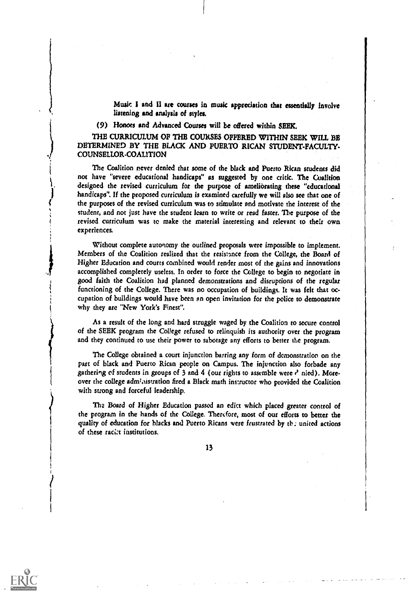Music I and U are courses in music appreciation that essentially Involve listening and analysis of styles.

(9) Honors and Advanced Courses will be offered within SEEK

THE CURRICULUM OF THE COURSES OFFERED WITHIN SEEK WILL BE DETERMINED BY THE BLACK AND PUERTO RICAN STUDENT-FACULTY-COUNSELLOR-COALITION

The Coalition never denied that some of the black and Puerto Rican students did not have "severe educational handicaps" as suggested by one critic. The Coalition designed the revised curriculum for the purpose of ameliorating these "educational handicaps". If the proposed curriculum is examined carefully we will also see that one of the purposes of the revised curriculum was to stimulate and motivate the interest of the student, and not just have the student learn to write or read faster. The purpose of the revised curriculum was to make the material interesting and relevant to their own experiences.

Without complete autonomy the outlined proposals were impossible to implement. Members of the Coalition realized that the resistance from the College, the Board of Higher Education and courts combined would render most of the gains and innovations accomplished completely useless. In order to force the College to begin to negotiate in good faith the Coalition had planned demonstrations and disruptions of the regular functioning of the College. There was no occupation of buildings. It was felt that occupation of buildings would have been an open invitation for the police to demonstrate why they are "New York's Finest".

As a result of the long and hard struggle waged by the Coalition to secure control of the SEEK program the College refused to relinquish its authority over the program and they continued to use their power to sabotage any efforts to better the program.

The College obtained a court injunction barring any form of demonstration on the part of black and Puerto Rican people on Campus. The injunction also forbade any gathering of students in groups of 3 and 4 (our rights to assemble were  $r^3$  nied). Moreover the college administration fired a Black math instructor who provided the Coalition with strong and forceful leadership,

The Board of Higher Education passed an edict which placed greater control of the program in the hands of the College. Therefore, most of our efforts to better the quality of education for blacks and Puerto Ricans were frustrated by tb: united actions of these racist institutions.

13



 $\mathbf{J}$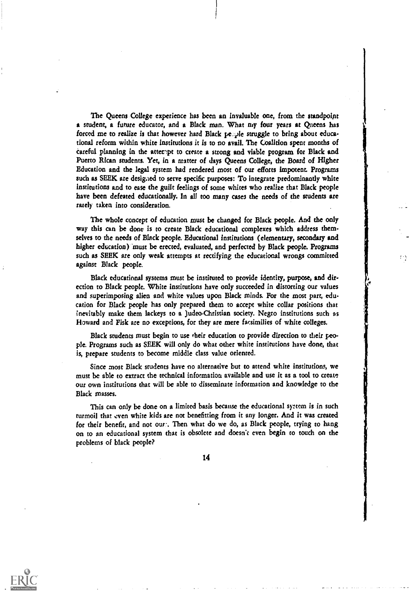The Queens College experience has been an Invaluable one, from the standpoint a student, a future educator, and a Black man. What my four years at Queens has forced me to realize is that however hard Black pe..ple struggle to bring about educational reform within white Institutions it is to no avail. The Coalition spent months of Careful planning in the atteript to create a strong and viable program for Black and Puerto Rican students. Yet, in a matter of days Queens College, the Board of Higher Education and the legal system had rendered most of our efforts Impotent. Programs such as SEEK are desigied to serve specific purposes: To integrate predominantly white institutions and to ease the guilt feelings of some whites who realize that Black people have been defeated educationally. In all too many cases the needs of the students are rarely taken into consideration.

The whole concept of education must be changed for Black people. And the only way this can be done is to create Black educational complexes which address them. selves to the needs of Black people. Educational institutions (elementary, secondary and higher education) 'must be erected, evaluated, and perfected by Black people. Programs such as SEEK are only weak attempts at rectifying the educational wrongs committed against Black people.

Black educational systems must be instituted to provide identity, purpose, and direction to Black people. White institutions have only succeeded in distorting our values and superimposing alien and white values upon Black minds. For the most part, education for Black people has only prepared them to accept white collar positions that inevitably make them lackeys to a Judeo-Christian society. Negro institutions such as Howard and Fisk are no exceptions, for they are mere facsimilies of white colleges.

Black students must begin to use their education to provide direction to their peopie. Programs such as SEEK will only do what other white institutions have done, that is, prepare students to become middle class value oriented.

Since most Black students have no alternative but to attend white institutions, we must be able to extract the technical information available and use it as a tool to create our own institutions that will be able to disseminate information and knowledge to the Black masses.

This can only be done on a limited basis because the educational system is in such turmoil that even white kids are not benefitting from it any longer. And it was created for their benefit, and not our.. Then what do we do, as Black people, trying to hang on to an educational system that is obsolete and doesn't even begin to touch on the problems of black people?

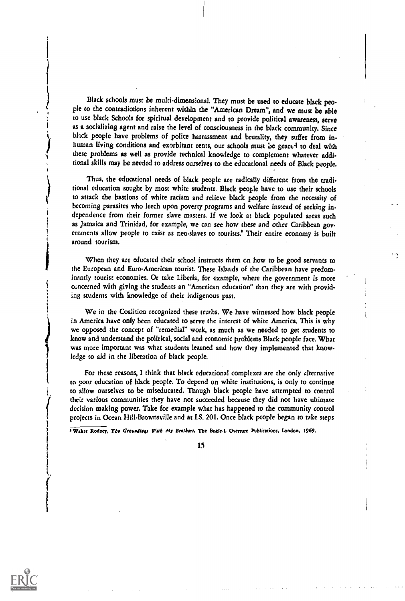Black schools must be multi-dimensional. They must be used to educate black people to the contradictions inherent within the "American Dream", and we must be able to use black Schools for spiritual development and to provide political awareness, serve as a socializing agent and raise the level of consciousness in the black community. Since black people have problems of police harrassment and brutality, they suffer from inhuman living conditions and exorbitant rents, our schools must be geared to deal with these problems as well as provide technical knowledge to complement whatever additional skills may be needed to address ourselves to the educational needs of Black people.

Thus, the educational needs of black people are radically different from the traditional education sought by most white students. Black people have to use their schools to attack the bastions of white racism and relieve black people from the necessity of becoming parasites who leech upon poverty programs and welfare instead of seeking independence from their former slave masters. If we look at black populated areas such as Jamaica and Trinidad, for example, we can see how these and other Caribbean governments allow people to exist as neo-slaves to tourists.' Their entire economy is built around tourism.

When they are educated their school instructs them on how to be good servants to the European and Euro-American tourist. These Islands of the Caribbean have predominantly tourist economies. Or take Liberia, for example, where the government is more concerned with giving the students an "American education" than they are with providing students with knowledge of their indigenous past.

We in the Coalition recognized these truths. We have witnessed how black people in America have only been educated to serve the interest of white America. This is why we opposed the concept of "remedial" work, as much as we needed to get students to know and understand the political, social and economic problems Black people face. What was more important was what students learned and how they implemented that knowledge to aid in the liberation of black people.

For these reasons, I think that black educational complexes are the only alternative to poor education of black people. To depend on white institutions, is only to continue to allow ourselves to be miseducated. Though black people have attempted to control their various communities they have not succeeded because they did not have ultimate decision making power. Take for example what has happened to the community control projects in Ocean Hill-Brownsville and at I.S. 201. Once black people began to take steps

+ Walter Rodney, The Groundings With My Brothers, The Bogle-L Overture Publications, London, 1969.